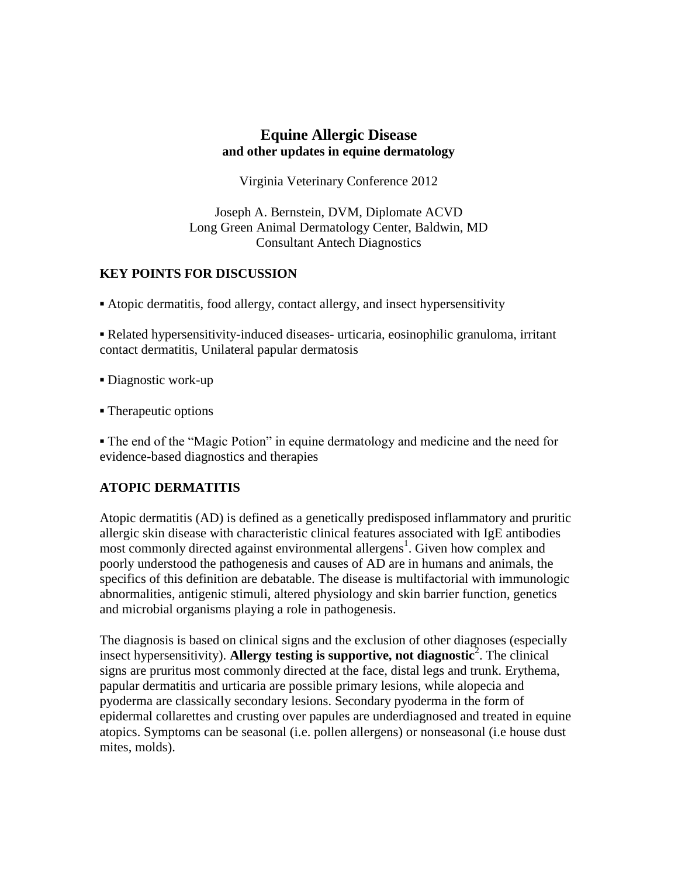## **Equine Allergic Disease and other updates in equine dermatology**

Virginia Veterinary Conference 2012

Joseph A. Bernstein, DVM, Diplomate ACVD Long Green Animal Dermatology Center, Baldwin, MD Consultant Antech Diagnostics

## **KEY POINTS FOR DISCUSSION**

**▪** Atopic dermatitis, food allergy, contact allergy, and insect hypersensitivity

**▪** Related hypersensitivity-induced diseases- urticaria, eosinophilic granuloma, irritant contact dermatitis, Unilateral papular dermatosis

**▪** Diagnostic work-up

**▪** Therapeutic options

**▪** The end of the "Magic Potion" in equine dermatology and medicine and the need for evidence-based diagnostics and therapies

# **ATOPIC DERMATITIS**

Atopic dermatitis (AD) is defined as a genetically predisposed inflammatory and pruritic allergic skin disease with characteristic clinical features associated with IgE antibodies most commonly directed against environmental allergens<sup>1</sup>. Given how complex and poorly understood the pathogenesis and causes of AD are in humans and animals, the specifics of this definition are debatable. The disease is multifactorial with immunologic abnormalities, antigenic stimuli, altered physiology and skin barrier function, genetics and microbial organisms playing a role in pathogenesis.

The diagnosis is based on clinical signs and the exclusion of other diagnoses (especially insect hypersensitivity). Allergy testing is supportive, not diagnostic<sup>2</sup>. The clinical signs are pruritus most commonly directed at the face, distal legs and trunk. Erythema, papular dermatitis and urticaria are possible primary lesions, while alopecia and pyoderma are classically secondary lesions. Secondary pyoderma in the form of epidermal collarettes and crusting over papules are underdiagnosed and treated in equine atopics. Symptoms can be seasonal (i.e. pollen allergens) or nonseasonal (i.e house dust mites, molds).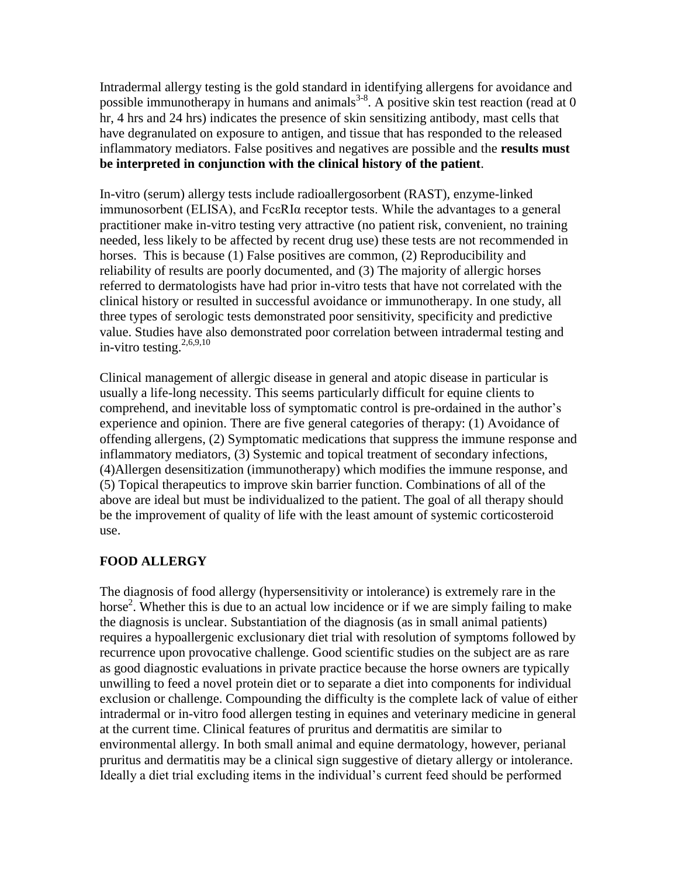Intradermal allergy testing is the gold standard in identifying allergens for avoidance and possible immunotherapy in humans and animals<sup>3-8</sup>. A positive skin test reaction (read at 0) hr, 4 hrs and 24 hrs) indicates the presence of skin sensitizing antibody, mast cells that have degranulated on exposure to antigen, and tissue that has responded to the released inflammatory mediators. False positives and negatives are possible and the **results must be interpreted in conjunction with the clinical history of the patient**.

In-vitro (serum) allergy tests include radioallergosorbent (RAST), enzyme-linked immunosorbent (ELISA), and FcεRIα receptor tests. While the advantages to a general practitioner make in-vitro testing very attractive (no patient risk, convenient, no training needed, less likely to be affected by recent drug use) these tests are not recommended in horses. This is because (1) False positives are common, (2) Reproducibility and reliability of results are poorly documented, and (3) The majority of allergic horses referred to dermatologists have had prior in-vitro tests that have not correlated with the clinical history or resulted in successful avoidance or immunotherapy. In one study, all three types of serologic tests demonstrated poor sensitivity, specificity and predictive value. Studies have also demonstrated poor correlation between intradermal testing and in-vitro testing. $2,6,9,10$ 

Clinical management of allergic disease in general and atopic disease in particular is usually a life-long necessity. This seems particularly difficult for equine clients to comprehend, and inevitable loss of symptomatic control is pre-ordained in the author's experience and opinion. There are five general categories of therapy: (1) Avoidance of offending allergens, (2) Symptomatic medications that suppress the immune response and inflammatory mediators, (3) Systemic and topical treatment of secondary infections, (4)Allergen desensitization (immunotherapy) which modifies the immune response, and (5) Topical therapeutics to improve skin barrier function. Combinations of all of the above are ideal but must be individualized to the patient. The goal of all therapy should be the improvement of quality of life with the least amount of systemic corticosteroid use.

## **FOOD ALLERGY**

The diagnosis of food allergy (hypersensitivity or intolerance) is extremely rare in the horse<sup>2</sup>. Whether this is due to an actual low incidence or if we are simply failing to make the diagnosis is unclear. Substantiation of the diagnosis (as in small animal patients) requires a hypoallergenic exclusionary diet trial with resolution of symptoms followed by recurrence upon provocative challenge. Good scientific studies on the subject are as rare as good diagnostic evaluations in private practice because the horse owners are typically unwilling to feed a novel protein diet or to separate a diet into components for individual exclusion or challenge. Compounding the difficulty is the complete lack of value of either intradermal or in-vitro food allergen testing in equines and veterinary medicine in general at the current time. Clinical features of pruritus and dermatitis are similar to environmental allergy. In both small animal and equine dermatology, however, perianal pruritus and dermatitis may be a clinical sign suggestive of dietary allergy or intolerance. Ideally a diet trial excluding items in the individual's current feed should be performed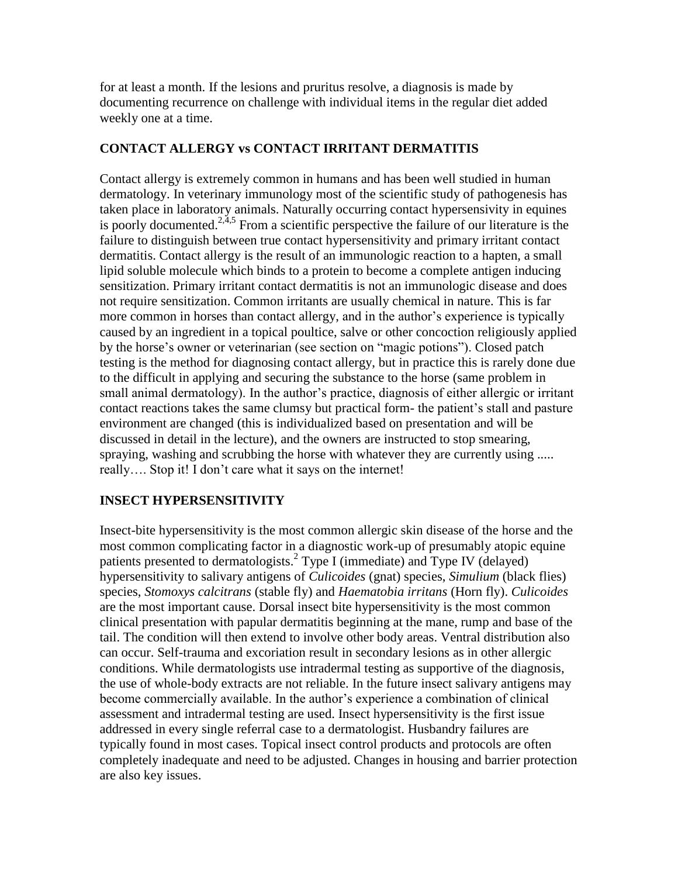for at least a month. If the lesions and pruritus resolve, a diagnosis is made by documenting recurrence on challenge with individual items in the regular diet added weekly one at a time.

## **CONTACT ALLERGY vs CONTACT IRRITANT DERMATITIS**

Contact allergy is extremely common in humans and has been well studied in human dermatology. In veterinary immunology most of the scientific study of pathogenesis has taken place in laboratory animals. Naturally occurring contact hypersensivity in equines is poorly documented.<sup>2,4,5</sup> From a scientific perspective the failure of our literature is the failure to distinguish between true contact hypersensitivity and primary irritant contact dermatitis. Contact allergy is the result of an immunologic reaction to a hapten, a small lipid soluble molecule which binds to a protein to become a complete antigen inducing sensitization. Primary irritant contact dermatitis is not an immunologic disease and does not require sensitization. Common irritants are usually chemical in nature. This is far more common in horses than contact allergy, and in the author's experience is typically caused by an ingredient in a topical poultice, salve or other concoction religiously applied by the horse's owner or veterinarian (see section on "magic potions"). Closed patch testing is the method for diagnosing contact allergy, but in practice this is rarely done due to the difficult in applying and securing the substance to the horse (same problem in small animal dermatology). In the author's practice, diagnosis of either allergic or irritant contact reactions takes the same clumsy but practical form- the patient's stall and pasture environment are changed (this is individualized based on presentation and will be discussed in detail in the lecture), and the owners are instructed to stop smearing, spraying, washing and scrubbing the horse with whatever they are currently using ..... really…. Stop it! I don't care what it says on the internet!

## **INSECT HYPERSENSITIVITY**

Insect-bite hypersensitivity is the most common allergic skin disease of the horse and the most common complicating factor in a diagnostic work-up of presumably atopic equine patients presented to dermatologists.<sup>2</sup> Type I (immediate) and Type IV (delayed) hypersensitivity to salivary antigens of *Culicoides* (gnat) species, *Simulium* (black flies) species, *Stomoxys calcitrans* (stable fly) and *Haematobia irritans* (Horn fly). *Culicoides*  are the most important cause. Dorsal insect bite hypersensitivity is the most common clinical presentation with papular dermatitis beginning at the mane, rump and base of the tail. The condition will then extend to involve other body areas. Ventral distribution also can occur. Self-trauma and excoriation result in secondary lesions as in other allergic conditions. While dermatologists use intradermal testing as supportive of the diagnosis, the use of whole-body extracts are not reliable. In the future insect salivary antigens may become commercially available. In the author's experience a combination of clinical assessment and intradermal testing are used. Insect hypersensitivity is the first issue addressed in every single referral case to a dermatologist. Husbandry failures are typically found in most cases. Topical insect control products and protocols are often completely inadequate and need to be adjusted. Changes in housing and barrier protection are also key issues.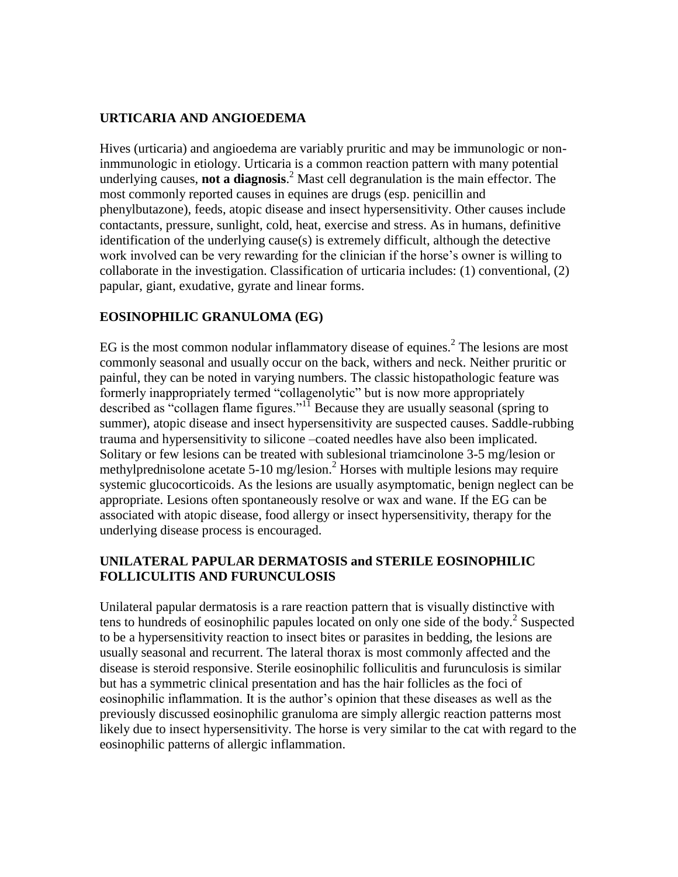## **URTICARIA AND ANGIOEDEMA**

Hives (urticaria) and angioedema are variably pruritic and may be immunologic or noninmmunologic in etiology. Urticaria is a common reaction pattern with many potential underlying causes, **not a diagnosis**. <sup>2</sup> Mast cell degranulation is the main effector. The most commonly reported causes in equines are drugs (esp. penicillin and phenylbutazone), feeds, atopic disease and insect hypersensitivity. Other causes include contactants, pressure, sunlight, cold, heat, exercise and stress. As in humans, definitive identification of the underlying cause(s) is extremely difficult, although the detective work involved can be very rewarding for the clinician if the horse's owner is willing to collaborate in the investigation. Classification of urticaria includes: (1) conventional, (2) papular, giant, exudative, gyrate and linear forms.

## **EOSINOPHILIC GRANULOMA (EG)**

EG is the most common nodular inflammatory disease of equines.<sup>2</sup> The lesions are most commonly seasonal and usually occur on the back, withers and neck. Neither pruritic or painful, they can be noted in varying numbers. The classic histopathologic feature was formerly inappropriately termed "collagenolytic" but is now more appropriately described as "collagen flame figures."<sup>11</sup> Because they are usually seasonal (spring to summer), atopic disease and insect hypersensitivity are suspected causes. Saddle-rubbing trauma and hypersensitivity to silicone –coated needles have also been implicated. Solitary or few lesions can be treated with sublesional triamcinolone 3-5 mg/lesion or methylprednisolone acetate  $5{\text -}10$  mg/lesion.<sup>2</sup> Horses with multiple lesions may require systemic glucocorticoids. As the lesions are usually asymptomatic, benign neglect can be appropriate. Lesions often spontaneously resolve or wax and wane. If the EG can be associated with atopic disease, food allergy or insect hypersensitivity, therapy for the underlying disease process is encouraged.

## **UNILATERAL PAPULAR DERMATOSIS and STERILE EOSINOPHILIC FOLLICULITIS AND FURUNCULOSIS**

Unilateral papular dermatosis is a rare reaction pattern that is visually distinctive with tens to hundreds of eosinophilic papules located on only one side of the body.<sup>2</sup> Suspected to be a hypersensitivity reaction to insect bites or parasites in bedding, the lesions are usually seasonal and recurrent. The lateral thorax is most commonly affected and the disease is steroid responsive. Sterile eosinophilic folliculitis and furunculosis is similar but has a symmetric clinical presentation and has the hair follicles as the foci of eosinophilic inflammation. It is the author's opinion that these diseases as well as the previously discussed eosinophilic granuloma are simply allergic reaction patterns most likely due to insect hypersensitivity. The horse is very similar to the cat with regard to the eosinophilic patterns of allergic inflammation.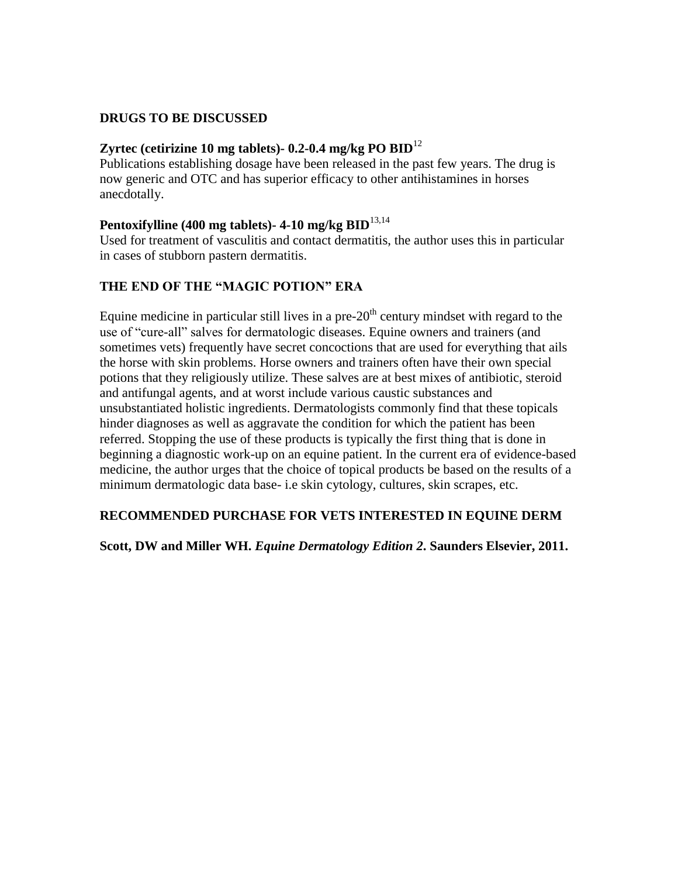### **DRUGS TO BE DISCUSSED**

### **Zyrtec (cetirizine 10 mg tablets)- 0.2-0.4 mg/kg PO BID**<sup>12</sup>

Publications establishing dosage have been released in the past few years. The drug is now generic and OTC and has superior efficacy to other antihistamines in horses anecdotally.

#### **Pentoxifylline (400 mg tablets)- 4-10 mg/kg BID**13,14

Used for treatment of vasculitis and contact dermatitis, the author uses this in particular in cases of stubborn pastern dermatitis.

## **THE END OF THE "MAGIC POTION" ERA**

Equine medicine in particular still lives in a pre- $20<sup>th</sup>$  century mindset with regard to the use of "cure-all" salves for dermatologic diseases. Equine owners and trainers (and sometimes vets) frequently have secret concoctions that are used for everything that ails the horse with skin problems. Horse owners and trainers often have their own special potions that they religiously utilize. These salves are at best mixes of antibiotic, steroid and antifungal agents, and at worst include various caustic substances and unsubstantiated holistic ingredients. Dermatologists commonly find that these topicals hinder diagnoses as well as aggravate the condition for which the patient has been referred. Stopping the use of these products is typically the first thing that is done in beginning a diagnostic work-up on an equine patient. In the current era of evidence-based medicine, the author urges that the choice of topical products be based on the results of a minimum dermatologic data base- i.e skin cytology, cultures, skin scrapes, etc.

## **RECOMMENDED PURCHASE FOR VETS INTERESTED IN EQUINE DERM**

#### **Scott, DW and Miller WH.** *Equine Dermatology Edition 2***. Saunders Elsevier, 2011.**